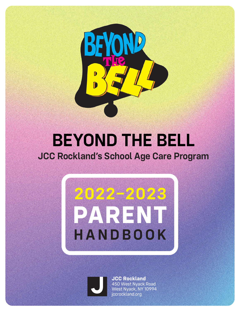

# **BEYOND THE BELL JCC Rockland's School Age Care Program**





**JCC Rockland** 450 West Nyack Road West Nyack, NY 10994 jccrockland.org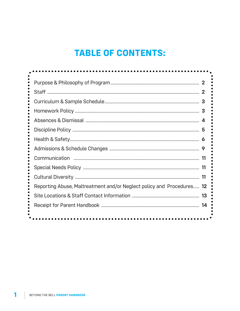# **TABLE OF CONTENTS:**

|                                                                       | 3  |
|-----------------------------------------------------------------------|----|
|                                                                       | 3  |
|                                                                       |    |
|                                                                       |    |
|                                                                       |    |
|                                                                       |    |
|                                                                       |    |
|                                                                       |    |
|                                                                       |    |
| Reporting Abuse, Maltreatment and/or Neglect policy and Procedures 12 |    |
|                                                                       | 13 |
|                                                                       |    |
|                                                                       |    |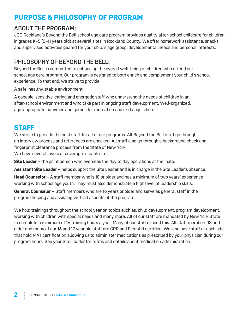# **PURPOSE & PHILOSOPHY OF PROGRAM**

#### ABOUT THE PROGRAM:

JCC Rockland's Beyond the Bell school age care program provides quality after-school childcare for children in grades K–5 (5–11 years old) at several sites in Rockland County. We offer homework assistance, snacks and supervised activities geared for your child's age group, developmental needs and personal interests.

## PHILOSOPHY OF BEYOND THE BELL:

Beyond the Bell is committed to enhancing the overall well-being of children who attend our school age care program. Our program is designed to both enrich and complement your child's school experience. To that end, we strive to provide:

A safe, healthy, stable environment.

A capable, sensitive, caring and energetic staff who understand the needs of children in an after-school environment and who take part in ongoing staff development. Well-organized, age-appropriate activities and games for recreation and skill acquisition.

# **STAFF**

We strive to provide the best staff for all of our programs. All Beyond the Bell staff go through an interview process and references are checked. All staff also go through a background check and fingerprint clearance process from the State of New York.

We have several levels of coverage at each site.

**Site Leader** – the point person who oversees the day to day operations at their site.

**Assistant Site Leader** – helps support the Site Leader and is in charge in the Site Leader's absence.

**Head Counselor** - A staff member who is 18 or older and has a minimum of two years' experience working with school age youth. They must also demonstrate a high level of leadership skills.

**General Counselor** – Staff members who are 16 years or older and serve as general staff in the program helping and assisting with all aspects of the program.

We hold trainings throughout the school year on topics such as; child development, program development, working with children with special needs and many more. All of our staff are mandated by New York State to complete a minimum of 16 training hours a year. Many of our staff exceed this. All staff members 18 and older and many of our 16 and 17 year old staff are CPR and First Aid certified. We also have staff at each site that hold MAT certification allowing us to administer medications as prescribed by your physician during our program hours. See your Site Leader for forms and details about medication administration.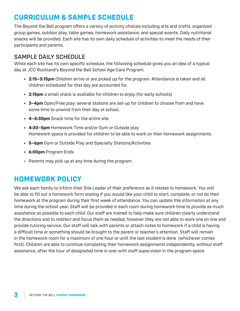# **CURRICULUM & SAMPLE SCHEDULE**

The Beyond the Bell program offers a variety of activity choices including arts and crafts, organized group games, outdoor play, table games, homework assistance, and special events. Daily nutritional snacks will be provided. Each site has its own daily schedule of activities to meet the needs of their participants and parents.

## SAMPLE DAILY SCHEDULE

While each site has its own specific schedule, the following schedule gives you an idea of a typical day at JCC Rockland's Beyond the Bell School Age Care Program.

- **• 2:15–3:15pm** Children arrive or are picked up for the program. Attendance is taken and all children scheduled for that day are accounted for.
- **• 2:15pm** a small snack is available for children to enjoy (for early schools)
- **• 3–4pm** Open/Free play: several stations are set-up for children to choose from and have some time to unwind from their day at school.
- **• 4–4:30pm** Snack time for the entire site
- **• 4:30–5pm** Homework Time and/or Gym or Outside play Homework space is provided for children to be able to work on their homework assignments.
- **• 5–6pm** Gym or Outside Play and Specialty Stations/Activities
- **• 6:00pm** Program Ends
- Parents may pick up at any time during the program.

# **HOMEWORK POLICY**

We ask each family to inform their Site Leader of their preference as it relates to homework. You will be able to fill out a homework form stating if you would like your child to start, complete, or not do their homework at the program during their first week of attendance. You can update this information at any time during the school year. Staff will be provided in each room during homework time to provide as much assistance as possible to each child. Our staff are trained to help make sure children clearly understand the directions and to redirect and focus them as needed, however they are not able to work one on one and provide tutoring service. Our staff will talk with parents or attach notes to homework if a child is having a difficult time or something should be brought to the parent or teacher's attention. Staff will remain in the homework room for a maximum of one hour or until the last student is done (whichever comes first). Children are able to continue completing their homework assignments independently, without staff assistance, after the hour of designated time is over with staff supervision in the program space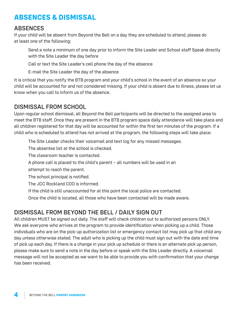# **ABSENCES & DISMISSAL**

#### ABSENCES

If your child will be absent from Beyond the Bell on a day they are scheduled to attend, please do at least one of the following:

Send a note a minimum of one day prior to inform the Site Leader and School staff Speak directly with the Site Leader the day before

Call or text the Site Leader's cell phone the day of the absence

E-mail the Site Leader the day of the absence

It is critical that you notify the BTB program and your child's school in the event of an absence so your child will be accounted for and not considered missing. If your child is absent due to illness, please let us know when you call to inform us of the absence.

#### DISMISSAL FROM SCHOOL

Upon regular school dismissal, all Beyond the Bell participants will be directed to the assigned area to meet the BTB staff. Once they are present in the BTB program space daily attendance will take place and all children registered for that day will be accounted for within the first ten minutes of the program. If a child who is scheduled to attend has not arrived at the program, the following steps will take place:

The Site Leader checks their voicemail and text log for any missed messages.

The absentee list at the school is checked.

The classroom teacher is contacted.

A phone call is placed to the child's parent – all numbers will be used in an

attempt to reach the parent.

The school principal is notified.

The JCC Rockland COO is informed.

If the child is still unaccounted for at this point the local police are contacted.

Once the child is located, all those who have been contacted will be made aware.

### DISMISSAL FROM BEYOND THE BELL / DAILY SIGN OUT

All children MUST be signed out daily. The staff will check children out to authorized persons ONLY. We ask everyone who arrives at the program to provide identification when picking up a child. Those individuals who are on the pick-up authorization list or emergency contact list may pick up that child any day unless otherwise stated. The adult who is picking up the child must sign out with the date and time of pick up each day. If there is a change in your pick up schedule or there is an alternate pick up person, please make sure to send a note in the day before or speak with the Site Leader directly. A voicemail message will not be accepted as we want to be able to provide you with confirmation that your change has been received.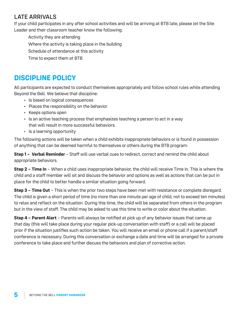# LATE ARRIVALS

If your child participates in any after school activities and will be arriving at BTB late, please let the Site Leader and their classroom teacher know the following:

Activity they are attending Where the activity is taking place in the building Schedule of attendance at this activity Time to expect them at BTB

# **DISCIPLINE POLICY**

All participants are expected to conduct themselves appropriately and follow school rules while attending Beyond the Bell. We believe that discipline:

- Is based on logical consequences
- Places the responsibility on the behavior
- Keeps options open
- Is an active teaching process that emphasizes teaching a person to act in a way that will result in more successful behaviors.
- Is a learning opportunity

The following actions will be taken when a child exhibits inappropriate behaviors or is found in possession of anything that can be deemed harmful to themselves or others during the BTB program:

**Step 1 – Verbal Reminder** – Staff will use verbal cues to redirect, correct and remind the child about appropriate behaviors.

**Step 2 – Time In** – When a child uses inappropriate behavior, the child will receive Time In. This is where the child and a staff member will sit and discuss the behavior and options as well as actions that can be put in place for the child to better handle a similar situation going forward.

**Step 3 – Time Out** – This is when the prior two steps have been met with resistance or complete disregard. The child is given a short period of time (no more than one minute per age of child, not to exceed ten minutes) to relax and reflect on the situation. During this time, the child will be separated from others in the program but in the view of staff. The child may be asked to use this time to write or color about the situation.

**Step 4 – Parent Alert** – Parents will always be notified at pick up of any behavior issues that came up that day (this will take place during your regular pick-up conversation with staff) or a call will be placed prior if the situation justifies such action be taken. You will receive an email or phone call if a parent/staff conference is necessary. During this conversation or exchange a date and time will be arranged for a private conference to take place and further discuss the behaviors and plan of corrective action.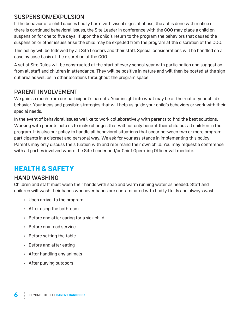#### SUSPENSION/EXPULSION

If the behavior of a child causes bodily harm with visual signs of abuse, the act is done with malice or there is continued behavioral issues, the Site Leader in conference with the COO may place a child on suspension for one to five days. If upon the child's return to the program the behaviors that caused the suspension or other issues arise the child may be expelled from the program at the discretion of the COO.

This policy will be followed by all Site Leaders and their staff. Special considerations will be handled on a case by case basis at the discretion of the COO.

A set of Site Rules will be constructed at the start of every school year with participation and suggestion from all staff and children in attendance. They will be positive in nature and will then be posted at the sign out area as well as in other locations throughout the program space.

#### PARENT INVOLVEMENT

We gain so much from our participant's parents. Your insight into what may be at the root of your child's behavior. Your ideas and possible strategies that will help us guide your child's behaviors or work with their special needs.

In the event of behavioral issues we like to work collaboratively with parents to find the best solutions. Working with parents help us to make changes that will not only benefit their child but all children in the program. It is also our policy to handle all behavioral situations that occur between two or more program participants in a discreet and personal way. We ask for your assistance in implementing this policy: Parents may only discuss the situation with and reprimand their own child. You may request a conference with all parties involved where the Site Leader and/or Chief Operating Officer will mediate.

# **HEALTH & SAFETY**

### HAND WASHING

Children and staff must wash their hands with soap and warm running water as needed. Staff and children will wash their hands whenever hands are contaminated with bodily fluids and always wash:

- Upon arrival to the program
- After using the bathroom
- Before and after caring for a sick child
- Before any food service
- Before setting the table
- Before and after eating
- After handling any animals
- After playing outdoors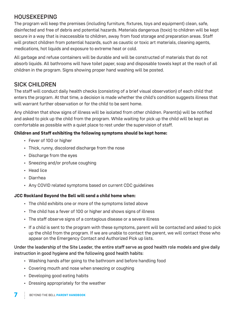# HOUSEKEEPING

The program will keep the premises (including furniture, fixtures, toys and equipment) clean, safe, disinfected and free of debris and potential hazards. Materials dangerous (toxic) to children will be kept secure in a way that is inaccessible to children, away from food storage and preparation areas. Staff will protect children from potential hazards, such as caustic or toxic art materials, cleaning agents, medications, hot liquids and exposure to extreme heat or cold.

All garbage and refuse containers will be durable and will be constructed of materials that do not absorb liquids. All bathrooms will have toilet paper, soap and disposable towels kept at the reach of all children in the program. Signs showing proper hand washing will be posted.

# SICK CHILDREN

The staff will conduct daily health checks (consisting of a brief visual observation) of each child that enters the program. At that time, a decision is made whether the child's condition suggests illness that will warrant further observation or for the child to be sent home.

Any children that show signs of illness will be isolated from other children. Parent(s) will be notified and asked to pick up the child from the program. While waiting for pick up the child will be kept as comfortable as possible with a quiet place to rest under the supervision of staff.

#### **Children and Staff exhibiting the following symptoms should be kept home:**

- Fever of 100 or higher
- Thick, runny, discolored discharge from the nose
- Discharge from the eyes
- Sneezing and/or profuse coughing
- Head lice
- Diarrhea
- Any COVID related symptoms based on current CDC guidelines

#### **JCC Rockland Beyond the Bell will send a child home when:**

- The child exhibits one or more of the symptoms listed above
- The child has a fever of 100 or higher and shows signs of illness
- The staff observe signs of a contagious disease or a severe illness
- If a child is sent to the program with these symptoms, parent will be contacted and asked to pick up the child from the program. If we are unable to contact the parent, we will contact those who appear on the Emergency Contact and Authorized Pick up lists.

#### Under the leadership of the Site Leader, the entire staff serve as good health role models and give daily instruction in good hygiene and the following good health habits:

- Washing hands after going to the bathroom and before handling food
- Covering mouth and nose when sneezing or coughing
- Developing good eating habits
- Dressing appropriately for the weather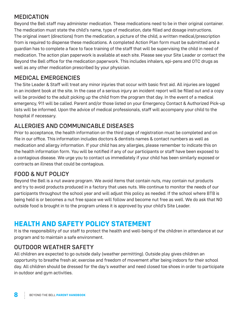# MEDICATION

Beyond the Bell staff may administer medication. These medications need to be in their original container. The medication must state the child's name, type of medication, date filled and dosage instructions. The original insert (directions) from the medication, a picture of the child, a written medical/prescription from is required to dispense these medications. A completed Action Plan form must be submitted and a guardian has to complete a face to face training of the staff that will be supervising the child in need of medication. The action plan paperwork is available at each site. Please see your Site Leader or contact the Beyond the Bell office for the medication paperwork. This includes inhalers, epi-pens and OTC drugs as well as any other medication prescribed by your physician.

### MEDICAL EMERGENCIES

The Site Leader & Staff will treat any minor injuries that occur with basic first aid. All injuries are logged in an incident book at the site. In the case of a serious injury an incident report will be filled out and a copy will be provided to the adult picking up the child from the program that day. In the event of a medical emergency, 911 will be called. Parent and/or those listed on your Emergency Contact & Authorized Pick-up lists will be informed. Upon the advice of medical professionals, staff will accompany your child to the hospital if necessary.

# ALLERGIES AND COMMUNICABLE DISEASES

Prior to acceptance, the health information on the third page of registration must be completed and on file in our office. This information includes doctors & dentists names & contact numbers as well as medication and allergy information. If your child has any allergies, please remember to indicate this on the health information form. You will be notified if any of our participants or staff have been exposed to a contagious disease. We urge you to contact us immediately if your child has been similarly exposed or contracts an illness that could be contagious.

# FOOD & NUT POLICY

Beyond the Bell is a nut aware program. We avoid items that contain nuts, may contain nut products and try to avoid products produced in a factory that uses nuts. We continue to monitor the needs of our participants throughout the school year and will adjust this policy as needed. If the school where BTB is being held is or becomes a nut free space we will follow and become nut free as well. We do ask that NO outside food is brought in to the program unless it is approved by your child's Site Leader.

# **HEALTH AND SAFETY POLICY STATEMENT**

It is the responsibility of our staff to protect the health and well-being of the children in attendance at our program and to maintain a safe environment.

### OUTDOOR WEATHER SAFETY

All children are expected to go outside daily (weather permitting). Outside play gives children an opportunity to breathe fresh air, exercise and freedom of movement after being indoors for their school day. All children should be dressed for the day's weather and need closed toe shoes in order to participate in outdoor and gym activities.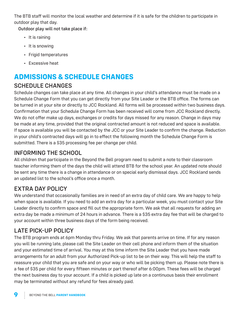The BTB staff will monitor the local weather and determine if it is safe for the children to participate in outdoor play that day.

Outdoor play will not take place if:

- It is raining
- It is snowing
- Frigid temperatures
- Excessive heat

# **ADMISSIONS & SCHEDULE CHANGES**

# SCHEDULE CHANGES

Schedule changes can take place at any time. All changes in your child's attendance must be made on a Schedule Change Form that you can get directly from your Site Leader or the BTB office. The forms can be turned in at your site or directly to JCC Rockland. All forms will be processed within two business days. Confirmation that your Schedule Change Form has been received will come from JCC Rockland directly. We do not offer make up days, exchanges or credits for days missed for any reason. Change in days may be made at any time, provided that the original contracted amount is not reduced and space is available. If space is available you will be contacted by the JCC or your Site Leader to confirm the change. Reduction in your child's contracted days will go in to effect the following month the Schedule Change Form is submitted. There is a \$35 processing fee per change per child.

# INFORMING THE SCHOOL

All children that participate in the Beyond the Bell program need to submit a note to their classroom teacher informing them of the days the child will attend BTB for the school year. An updated note should be sent any time there is a change in attendance or on special early dismissal days. JCC Rockland sends an updated list to the school's office once a month.

# EXTRA DAY POLICY

We understand that occasionally families are in need of an extra day of child care. We are happy to help when space is available. If you need to add an extra day for a particular week, you must contact your Site Leader directly to confirm space and fill out the appropriate form. We ask that all requests for adding an extra day be made a minimum of 24 hours in advance. There is a \$35 extra day fee that will be charged to your account within three business days of the form being received.

# LATE PICK-UP POLICY

The BTB program ends at 6pm Monday thru Friday. We ask that parents arrive on time. If for any reason you will be running late, please call the Site Leader on their cell phone and inform them of the situation and your estimated time of arrival. You may at this time inform the Site Leader that you have made arrangements for an adult from your Authorized Pick-up list to be on their way. This will help the staff to reassure your child that you are safe and on your way or who will be picking them up. Please note there is a fee of \$35 per child for every fifteen minutes or part thereof after 6:00pm. These fees will be charged the next business day to your account. If a child is picked up late on a continuous basis their enrollment may be terminated without any refund for fees already paid.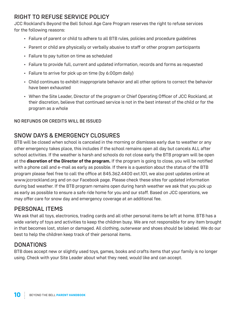# RIGHT TO REFUSE SERVICE POLICY

JCC Rockland's Beyond the Bell School Age Care Program reserves the right to refuse services for the following reasons:

- Failure of parent or child to adhere to all BTB rules, policies and procedure guidelines
- Parent or child are physically or verbally abusive to staff or other program participants
- Failure to pay tuition on time as scheduled
- Failure to provide full, current and updated information, records and forms as requested
- Failure to arrive for pick up on time (by 6:00pm daily)
- Child continues to exhibit inappropriate behavior and all other options to correct the behavior have been exhausted
- When the Site Leader, Director of the program or Chief Operating Officer of JCC Rockland, at their discretion, believe that continued service is not in the best interest of the child or for the program as a whole

#### NO REFUNDS OR CREDITS WILL BE ISSUED

# SNOW DAYS & EMERGENCY CLOSURES

BTB will be closed when school is canceled in the morning or dismisses early due to weather or any other emergency takes place, this includes if the school remains open all day but cancels ALL after school activities. If the weather is harsh and schools do not close early the BTB program will be open at the **discretion of the Director of the program.** If the program is going to close, you will be notified with a phone call and e-mail as early as possible. If there is a question about the status of the BTB program please feel free to call the office at 845.362.4400 ext.101, we also post updates online at www.jccrockland.org and on our Facebook page. Please check these sites for updated information during bad weather. If the BTB program remains open during harsh weather we ask that you pick up as early as possible to ensure a safe ride home for you and our staff. Based on JCC operations, we may offer care for snow day and emergency coverage at an additional fee.

### PERSONAL ITEMS

We ask that all toys, electronics, trading cards and all other personal items be left at home. BTB has a wide variety of toys and activities to keep the children busy. We are not responsible for any item brought in that becomes lost, stolen or damaged. All clothing, outerwear and shoes should be labeled. We do our best to help the children keep track of their personal items.

### **DONATIONS**

BTB does accept new or slightly used toys, games, books and crafts items that your family is no longer using. Check with your Site Leader about what they need, would like and can accept.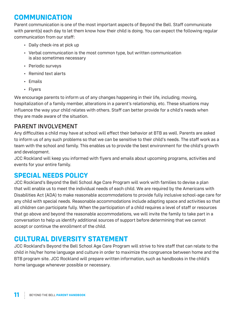# **COMMUNICATION**

Parent communication is one of the most important aspects of Beyond the Bell. Staff communicate with parent(s) each day to let them know how their child is doing. You can expect the following regular communication from our staff:

- Daily check-ins at pick up
- Verbal communication is the most common type, but written communication is also sometimes necessary
- Periodic surveys
- Remind text alerts
- Emails
- Flyers

We encourage parents to inform us of any changes happening in their life, including; moving, hospitalization of a family member, alterations in a parent's relationship, etc. These situations may influence the way your child relates with others. Staff can better provide for a child's needs when they are made aware of the situation.

#### PARENT INVOLVEMENT

Any difficulties a child may have at school will effect their behavior at BTB as well. Parents are asked to inform us of any such problems so that we can be sensitive to their child's needs. The staff work as a team with the school and family. This enables us to provide the best environment for the child's growth and development.

JCC Rockland will keep you informed with flyers and emails about upcoming programs, activities and events for your entire family.

### **SPECIAL NEEDS POLICY**

JCC Rockland's Beyond the Bell School Age Care Program will work with families to devise a plan that will enable us to meet the individual needs of each child. We are required by the Americans with Disabilities Act (ADA) to make reasonable accommodations to provide fully inclusive school-age care for any child with special needs. Reasonable accommodations include adapting space and activities so that all children can participate fully. When the participation of a child requires a level of staff or resources that go above and beyond the reasonable accommodations, we will invite the family to take part in a conversation to help us identify additional sources of support before determining that we cannot accept or continue the enrollment of the child.

# **CULTURAL DIVERSITY STATEMENT**

JCC Rockland's Beyond the Bell School Age Care Program will strive to hire staff that can relate to the child in his/her home language and culture in order to maximize the congruence between home and the BTB program site. JCC Rockland will prepare written information, such as handbooks in the child's home language whenever possible or necessary.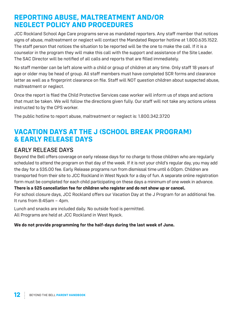# **REPORTING ABUSE, MALTREATMENT AND/OR NEGLECT POLICY AND PROCEDURES**

JCC Rockland School Age Care programs serve as mandated reporters. Any staff member that notices signs of abuse, maltreatment or neglect will contact the Mandated Reporter hotline at 1.800.635.1522. The staff person that notices the situation to be reported will be the one to make the call. If it is a counselor in the program they will make this call with the support and assistance of the Site Leader. The SAC Director will be notified of all calls and reports that are filled immediately.

No staff member can be left alone with a child or group of children at any time. Only staff 18 years of age or older may be head of group. All staff members must have completed SCR forms and clearance letter as well as a fingerprint clearance on file. Staff will NOT question children about suspected abuse, maltreatment or neglect.

Once the report is filed the Child Protective Services case worker will inform us of steps and actions that must be taken. We will follow the directions given fully. Our staff will not take any actions unless instructed to by the CPS worker.

The public hotline to report abuse, maltreatment or neglect is: 1.800.342.3720

# **VACATION DAYS AT THE J (SCHOOL BREAK PROGRAM) & EARLY RELEASE DAYS**

#### EARLY RELEASE DAYS

Beyond the Bell offers coverage on early release days for no charge to those children who are regularly scheduled to attend the program on that day of the week. If it is not your child's regular day, you may add the day for a \$35.00 fee. Early Release programs run from dismissal time until 6:00pm. Children are transported from their site to JCC Rockland in West Nyack for a day of fun. A separate online registration form must be completed for each child participating on these days a minimum of one week in advance.

**There is a \$25 cancellation fee for children who register and do not show up or cancel.**

For school closure days, JCC Rockland offers our Vacation Day at the J Program for an additional fee. It runs from 8:45am – 4pm.

Lunch and snacks are included daily. No outside food is permitted. All Programs are held at JCC Rockland in West Nyack.

#### **We do not provide programming for the half-days during the last week of June.**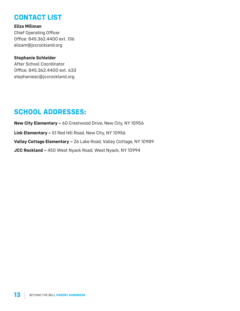# **CONTACT LIST**

**Eliza Millman** Chief Operating Officer Office: 845.362.4400 ext. 136 elizam@jccrockland.org

#### **Stephanie Schleider**

After School Coordinator Office: 845.362.4400 ext. 633 stephaniesc@jccrockland.org

# **SCHOOL ADDRESSES:**

**New City Elementary –** 60 Crestwood Drive, New City, NY 10956 **Link Elementary –** 51 Red Hill Road, New City, NY 10956 **Valley Cottage Elementary –** 26 Lake Road, Valley Cottage, NY 10989 **JCC Rockland –** 450 West Nyack Road, West Nyack, NY 10994